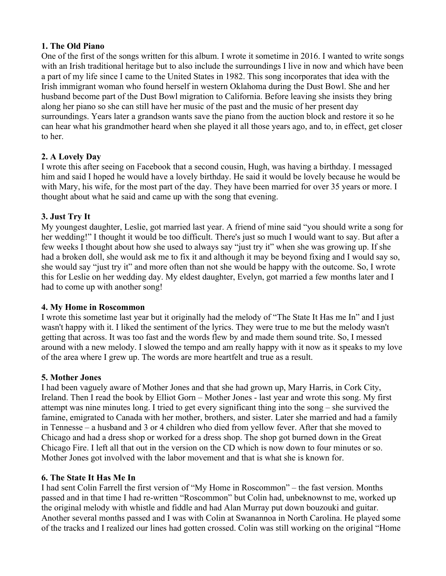# **1. The Old Piano**

One of the first of the songs written for this album. I wrote it sometime in 2016. I wanted to write songs with an Irish traditional heritage but to also include the surroundings I live in now and which have been a part of my life since I came to the United States in 1982. This song incorporates that idea with the Irish immigrant woman who found herself in western Oklahoma during the Dust Bowl. She and her husband become part of the Dust Bowl migration to California. Before leaving she insists they bring along her piano so she can still have her music of the past and the music of her present day surroundings. Years later a grandson wants save the piano from the auction block and restore it so he can hear what his grandmother heard when she played it all those years ago, and to, in effect, get closer to her.

# **2. A Lovely Day**

I wrote this after seeing on Facebook that a second cousin, Hugh, was having a birthday. I messaged him and said I hoped he would have a lovely birthday. He said it would be lovely because he would be with Mary, his wife, for the most part of the day. They have been married for over 35 years or more. I thought about what he said and came up with the song that evening.

# **3. Just Try It**

My youngest daughter, Leslie, got married last year. A friend of mine said "you should write a song for her wedding!" I thought it would be too difficult. There's just so much I would want to say. But after a few weeks I thought about how she used to always say "just try it" when she was growing up. If she had a broken doll, she would ask me to fix it and although it may be beyond fixing and I would say so, she would say "just try it" and more often than not she would be happy with the outcome. So, I wrote this for Leslie on her wedding day. My eldest daughter, Evelyn, got married a few months later and I had to come up with another song!

## **4. My Home in Roscommon**

I wrote this sometime last year but it originally had the melody of "The State It Has me In" and I just wasn't happy with it. I liked the sentiment of the lyrics. They were true to me but the melody wasn't getting that across. It was too fast and the words flew by and made them sound trite. So, I messed around with a new melody. I slowed the tempo and am really happy with it now as it speaks to my love of the area where I grew up. The words are more heartfelt and true as a result.

## **5. Mother Jones**

I had been vaguely aware of Mother Jones and that she had grown up, Mary Harris, in Cork City, Ireland. Then I read the book by Elliot Gorn – Mother Jones - last year and wrote this song. My first attempt was nine minutes long. I tried to get every significant thing into the song – she survived the famine, emigrated to Canada with her mother, brothers, and sister. Later she married and had a family in Tennesse – a husband and 3 or 4 children who died from yellow fever. After that she moved to Chicago and had a dress shop or worked for a dress shop. The shop got burned down in the Great Chicago Fire. I left all that out in the version on the CD which is now down to four minutes or so. Mother Jones got involved with the labor movement and that is what she is known for.

# **6. The State It Has Me In**

I had sent Colin Farrell the first version of "My Home in Roscommon" – the fast version. Months passed and in that time I had re-written "Roscommon" but Colin had, unbeknownst to me, worked up the original melody with whistle and fiddle and had Alan Murray put down bouzouki and guitar. Another several months passed and I was with Colin at Swanannoa in North Carolina. He played some of the tracks and I realized our lines had gotten crossed. Colin was still working on the original "Home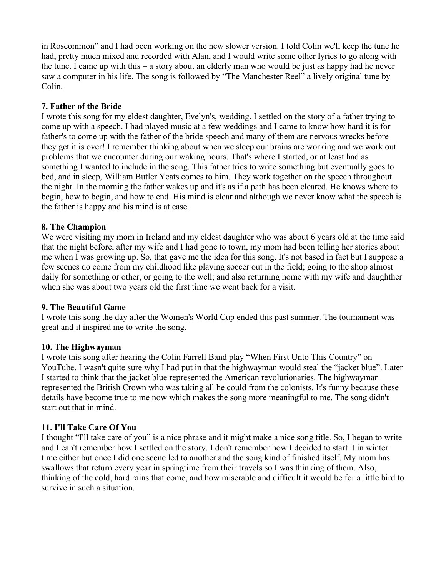in Roscommon" and I had been working on the new slower version. I told Colin we'll keep the tune he had, pretty much mixed and recorded with Alan, and I would write some other lyrics to go along with the tune. I came up with this – a story about an elderly man who would be just as happy had he never saw a computer in his life. The song is followed by "The Manchester Reel" a lively original tune by Colin.

## **7. Father of the Bride**

I wrote this song for my eldest daughter, Evelyn's, wedding. I settled on the story of a father trying to come up with a speech. I had played music at a few weddings and I came to know how hard it is for father's to come up with the father of the bride speech and many of them are nervous wrecks before they get it is over! I remember thinking about when we sleep our brains are working and we work out problems that we encounter during our waking hours. That's where I started, or at least had as something I wanted to include in the song. This father tries to write something but eventually goes to bed, and in sleep, William Butler Yeats comes to him. They work together on the speech throughout the night. In the morning the father wakes up and it's as if a path has been cleared. He knows where to begin, how to begin, and how to end. His mind is clear and although we never know what the speech is the father is happy and his mind is at ease.

# **8. The Champion**

We were visiting my mom in Ireland and my eldest daughter who was about 6 years old at the time said that the night before, after my wife and I had gone to town, my mom had been telling her stories about me when I was growing up. So, that gave me the idea for this song. It's not based in fact but I suppose a few scenes do come from my childhood like playing soccer out in the field; going to the shop almost daily for something or other, or going to the well; and also returning home with my wife and daughther when she was about two years old the first time we went back for a visit.

## **9. The Beautiful Game**

I wrote this song the day after the Women's World Cup ended this past summer. The tournament was great and it inspired me to write the song.

## **10. The Highwayman**

I wrote this song after hearing the Colin Farrell Band play "When First Unto This Country" on YouTube. I wasn't quite sure why I had put in that the highwayman would steal the "jacket blue". Later I started to think that the jacket blue represented the American revolutionaries. The highwayman represented the British Crown who was taking all he could from the colonists. It's funny because these details have become true to me now which makes the song more meaningful to me. The song didn't start out that in mind.

# **11. I'll Take Care Of You**

I thought "I'll take care of you" is a nice phrase and it might make a nice song title. So, I began to write and I can't remember how I settled on the story. I don't remember how I decided to start it in winter time either but once I did one scene led to another and the song kind of finished itself. My mom has swallows that return every year in springtime from their travels so I was thinking of them. Also, thinking of the cold, hard rains that come, and how miserable and difficult it would be for a little bird to survive in such a situation.